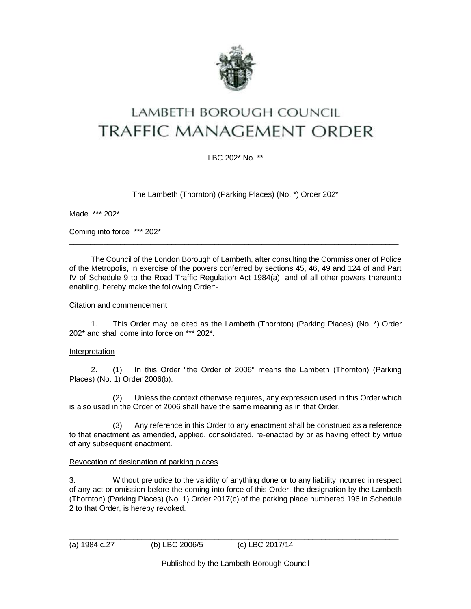

# LAMBETH BOROUGH COUNCIL **TRAFFIC MANAGEMENT ORDER**

# LBC 202\* No. \*\*  $\_$  ,  $\_$  ,  $\_$  ,  $\_$  ,  $\_$  ,  $\_$  ,  $\_$  ,  $\_$  ,  $\_$  ,  $\_$  ,  $\_$  ,  $\_$  ,  $\_$  ,  $\_$  ,  $\_$  ,  $\_$  ,  $\_$  ,  $\_$  ,  $\_$  ,  $\_$  ,  $\_$  ,  $\_$  ,  $\_$  ,  $\_$  ,  $\_$  ,  $\_$  ,  $\_$  ,  $\_$  ,  $\_$  ,  $\_$  ,  $\_$  ,  $\_$  ,  $\_$  ,  $\_$  ,  $\_$  ,  $\_$  ,  $\_$  ,

The Lambeth (Thornton) (Parking Places) (No. \*) Order 202\*

Made \*\*\* 202\*

Coming into force \*\*\* 202\*

The Council of the London Borough of Lambeth, after consulting the Commissioner of Police of the Metropolis, in exercise of the powers conferred by sections 45, 46, 49 and 124 of and Part IV of Schedule 9 to the Road Traffic Regulation Act 1984(a), and of all other powers thereunto enabling, hereby make the following Order:-

\_\_\_\_\_\_\_\_\_\_\_\_\_\_\_\_\_\_\_\_\_\_\_\_\_\_\_\_\_\_\_\_\_\_\_\_\_\_\_\_\_\_\_\_\_\_\_\_\_\_\_\_\_\_\_\_\_\_\_\_\_\_\_\_\_\_\_\_\_\_\_\_\_\_\_\_\_

#### Citation and commencement

1. This Order may be cited as the Lambeth (Thornton) (Parking Places) (No. \*) Order 202\* and shall come into force on \*\*\* 202\*.

## **Interpretation**

2. (1) In this Order "the Order of 2006" means the Lambeth (Thornton) (Parking Places) (No. 1) Order 2006(b).

(2) Unless the context otherwise requires, any expression used in this Order which is also used in the Order of 2006 shall have the same meaning as in that Order.

(3) Any reference in this Order to any enactment shall be construed as a reference to that enactment as amended, applied, consolidated, re-enacted by or as having effect by virtue of any subsequent enactment.

#### Revocation of designation of parking places

3. Without prejudice to the validity of anything done or to any liability incurred in respect of any act or omission before the coming into force of this Order, the designation by the Lambeth (Thornton) (Parking Places) (No. 1) Order 2017(c) of the parking place numbered 196 in Schedule 2 to that Order, is hereby revoked.

 $\_$  ,  $\_$  ,  $\_$  ,  $\_$  ,  $\_$  ,  $\_$  ,  $\_$  ,  $\_$  ,  $\_$  ,  $\_$  ,  $\_$  ,  $\_$  ,  $\_$  ,  $\_$  ,  $\_$  ,  $\_$  ,  $\_$  ,  $\_$  ,  $\_$  ,  $\_$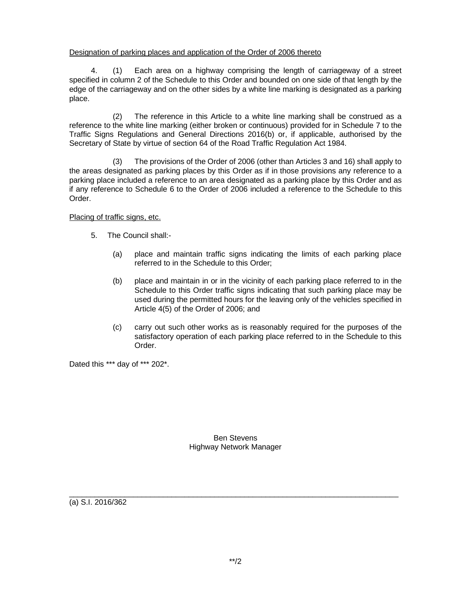#### Designation of parking places and application of the Order of 2006 thereto

4. (1) Each area on a highway comprising the length of carriageway of a street specified in column 2 of the Schedule to this Order and bounded on one side of that length by the edge of the carriageway and on the other sides by a white line marking is designated as a parking place.

(2) The reference in this Article to a white line marking shall be construed as a reference to the white line marking (either broken or continuous) provided for in Schedule 7 to the Traffic Signs Regulations and General Directions 2016(b) or, if applicable, authorised by the Secretary of State by virtue of section 64 of the Road Traffic Regulation Act 1984.

(3) The provisions of the Order of 2006 (other than Articles 3 and 16) shall apply to the areas designated as parking places by this Order as if in those provisions any reference to a parking place included a reference to an area designated as a parking place by this Order and as if any reference to Schedule 6 to the Order of 2006 included a reference to the Schedule to this Order.

Placing of traffic signs, etc.

- 5. The Council shall:-
	- (a) place and maintain traffic signs indicating the limits of each parking place referred to in the Schedule to this Order;
	- (b) place and maintain in or in the vicinity of each parking place referred to in the Schedule to this Order traffic signs indicating that such parking place may be used during the permitted hours for the leaving only of the vehicles specified in Article 4(5) of the Order of 2006; and
	- (c) carry out such other works as is reasonably required for the purposes of the satisfactory operation of each parking place referred to in the Schedule to this Order.

Dated this \*\*\* day of \*\*\* 202\*.

Ben Stevens Highway Network Manager

 $\_$  ,  $\_$  ,  $\_$  ,  $\_$  ,  $\_$  ,  $\_$  ,  $\_$  ,  $\_$  ,  $\_$  ,  $\_$  ,  $\_$  ,  $\_$  ,  $\_$  ,  $\_$  ,  $\_$  ,  $\_$  ,  $\_$  ,  $\_$  ,  $\_$  ,  $\_$ 

(a) S.I. 2016/362